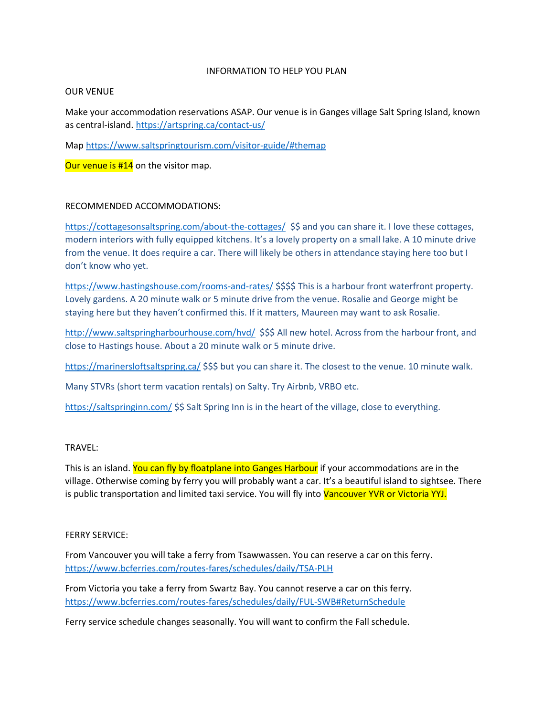## INFORMATION TO HELP YOU PLAN

## OUR VENUE

Make your accommodation reservations ASAP. Our venue is in Ganges village Salt Spring Island, known as central-island. https://artspring.ca/contact-us/

Map https://www.saltspringtourism.com/visitor-guide/#themap

Our venue is #14 on the visitor map.

## RECOMMENDED ACCOMMODATIONS:

https://cottagesonsaltspring.com/about-the-cottages/ \$\$ and you can share it. I love these cottages, modern interiors with fully equipped kitchens. It's a lovely property on a small lake. A 10 minute drive from the venue. It does require a car. There will likely be others in attendance staying here too but I don't know who yet.

https://www.hastingshouse.com/rooms-and-rates/ \$\$\$\$ This is a harbour front waterfront property. Lovely gardens. A 20 minute walk or 5 minute drive from the venue. Rosalie and George might be staying here but they haven't confirmed this. If it matters, Maureen may want to ask Rosalie.

http://www.saltspringharbourhouse.com/hvd/ \$\$\$ All new hotel. Across from the harbour front, and close to Hastings house. About a 20 minute walk or 5 minute drive.

https://marinersloftsaltspring.ca/ \$\$\$ but you can share it. The closest to the venue. 10 minute walk.

Many STVRs (short term vacation rentals) on Salty. Try Airbnb, VRBO etc.

https://saltspringinn.com/ \$\$ Salt Spring Inn is in the heart of the village, close to everything.

# TRAVEL:

This is an island. You can fly by floatplane into Ganges Harbour if your accommodations are in the village. Otherwise coming by ferry you will probably want a car. It's a beautiful island to sightsee. There is public transportation and limited taxi service. You will fly into Vancouver YVR or Victoria YYJ.

#### FERRY SERVICE:

From Vancouver you will take a ferry from Tsawwassen. You can reserve a car on this ferry. https://www.bcferries.com/routes-fares/schedules/daily/TSA-PLH

From Victoria you take a ferry from Swartz Bay. You cannot reserve a car on this ferry. https://www.bcferries.com/routes-fares/schedules/daily/FUL-SWB#ReturnSchedule

Ferry service schedule changes seasonally. You will want to confirm the Fall schedule.